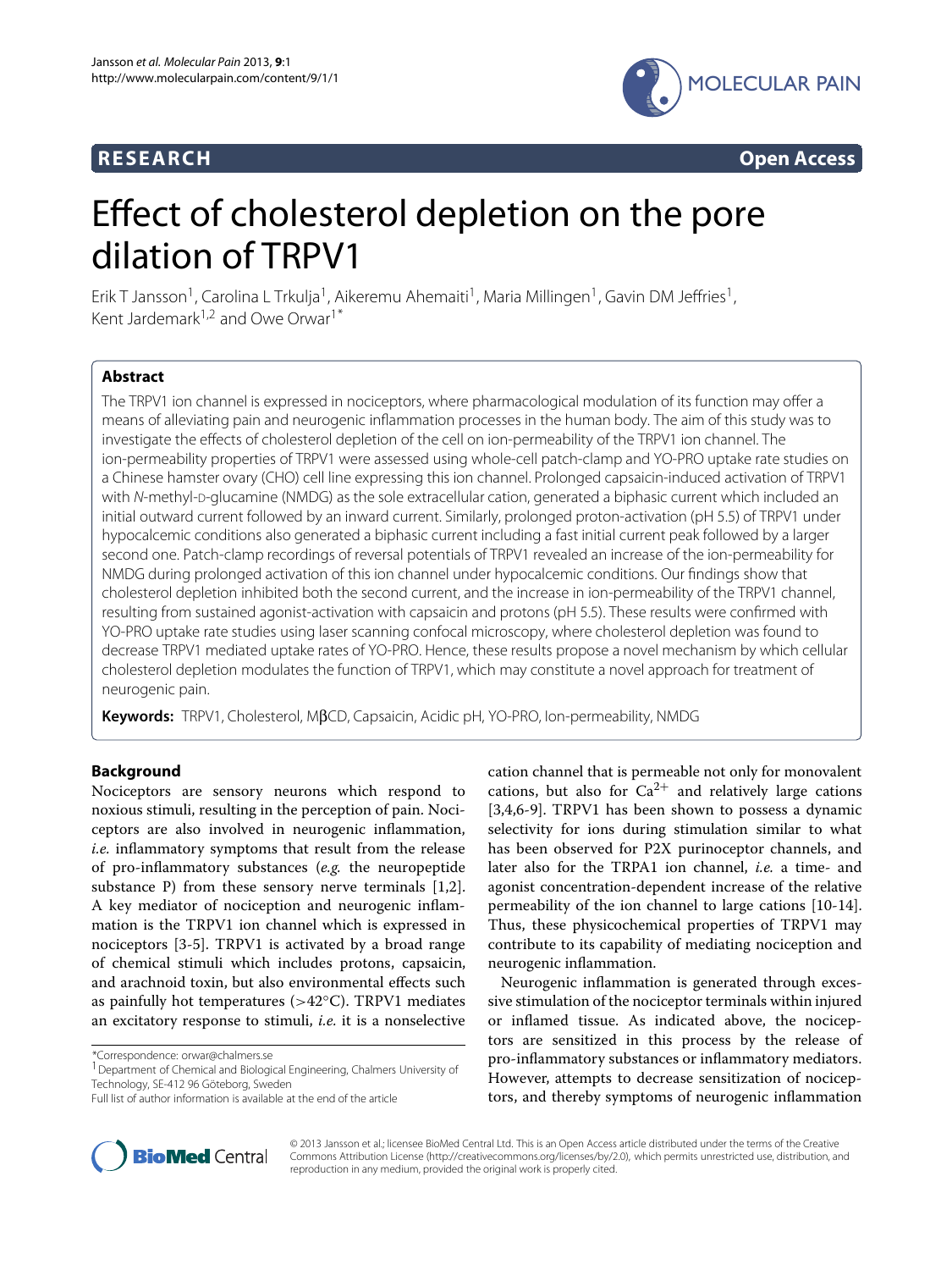## **RESEARCH Open Access**



# Effect of cholesterol depletion on the pore dilation of TRPV1

Erik T Jansson<sup>1</sup>, Carolina L Trkulja<sup>1</sup>, Aikeremu Ahemaiti<sup>1</sup>, Maria Millingen<sup>1</sup>, Gavin DM Jeffries<sup>1</sup>, Kent Jardemark<sup>1,2</sup> and Owe Orwar<sup>1\*</sup>

## **Abstract**

The TRPV1 ion channel is expressed in nociceptors, where pharmacological modulation of its function may offer a means of alleviating pain and neurogenic inflammation processes in the human body. The aim of this study was to investigate the effects of cholesterol depletion of the cell on ion-permeability of the TRPV1 ion channel. The ion-permeability properties of TRPV1 were assessed using whole-cell patch-clamp and YO-PRO uptake rate studies on a Chinese hamster ovary (CHO) cell line expressing this ion channel. Prolonged capsaicin-induced activation of TRPV1 with *N*-methyl-D-glucamine (NMDG) as the sole extracellular cation, generated a biphasic current which included an initial outward current followed by an inward current. Similarly, prolonged proton-activation (pH 5.5) of TRPV1 under hypocalcemic conditions also generated a biphasic current including a fast initial current peak followed by a larger second one. Patch-clamp recordings of reversal potentials of TRPV1 revealed an increase of the ion-permeability for NMDG during prolonged activation of this ion channel under hypocalcemic conditions. Our findings show that cholesterol depletion inhibited both the second current, and the increase in ion-permeability of the TRPV1 channel, resulting from sustained agonist-activation with capsaicin and protons (pH 5.5). These results were confirmed with YO-PRO uptake rate studies using laser scanning confocal microscopy, where cholesterol depletion was found to decrease TRPV1 mediated uptake rates of YO-PRO. Hence, these results propose a novel mechanism by which cellular cholesterol depletion modulates the function of TRPV1, which may constitute a novel approach for treatment of neurogenic pain.

**Keywords:** TRPV1, Cholesterol, MβCD, Capsaicin, Acidic pH, YO-PRO, Ion-permeability, NMDG

## **Background**

Nociceptors are sensory neurons which respond to noxious stimuli, resulting in the perception of pain. Nociceptors are also involved in neurogenic inflammation, *i.e.* inflammatory symptoms that result from the release of pro-inflammatory substances (*e.g.* the neuropeptide substance P) from these sensory nerve terminals [\[1,](#page-7-0)[2\]](#page-7-1). A key mediator of nociception and neurogenic inflammation is the TRPV1 ion channel which is expressed in nociceptors [\[3](#page-7-2)[-5\]](#page-7-3). TRPV1 is activated by a broad range of chemical stimuli which includes protons, capsaicin, and arachnoid toxin, but also environmental effects such as painfully hot temperatures  $(>42°C)$ . TRPV1 mediates an excitatory response to stimuli, *i.e.* it is a nonselective

\*Correspondence: orwar@chalmers.se

<sup>1</sup> Department of Chemical and Biological Engineering, Chalmers University of Technology, SE-412 96 Göteborg, Sweden

cation channel that is permeable not only for monovalent cations, but also for  $Ca^{2+}$  and relatively large cations [\[3](#page-7-2)[,4,](#page-7-4)[6](#page-7-5)[-9\]](#page-7-6). TRPV1 has been shown to possess a dynamic selectivity for ions during stimulation similar to what has been observed for P2X purinoceptor channels, and later also for the TRPA1 ion channel, *i.e.* a time- and agonist concentration-dependent increase of the relative permeability of the ion channel to large cations [\[10](#page-7-7)[-14\]](#page-7-8). Thus, these physicochemical properties of TRPV1 may contribute to its capability of mediating nociception and neurogenic inflammation.

Neurogenic inflammation is generated through excessive stimulation of the nociceptor terminals within injured or inflamed tissue. As indicated above, the nociceptors are sensitized in this process by the release of pro-inflammatory substances or inflammatory mediators. However, attempts to decrease sensitization of nociceptors, and thereby symptoms of neurogenic inflammation



© 2013 Jansson et al.; licensee BioMed Central Ltd. This is an Open Access article distributed under the terms of the Creative Commons Attribution License (http://creativecommons.org/licenses/by/2.0), which permits unrestricted use, distribution, and reproduction in any medium, provided the original work is properly cited.

Full list of author information is available at the end of the article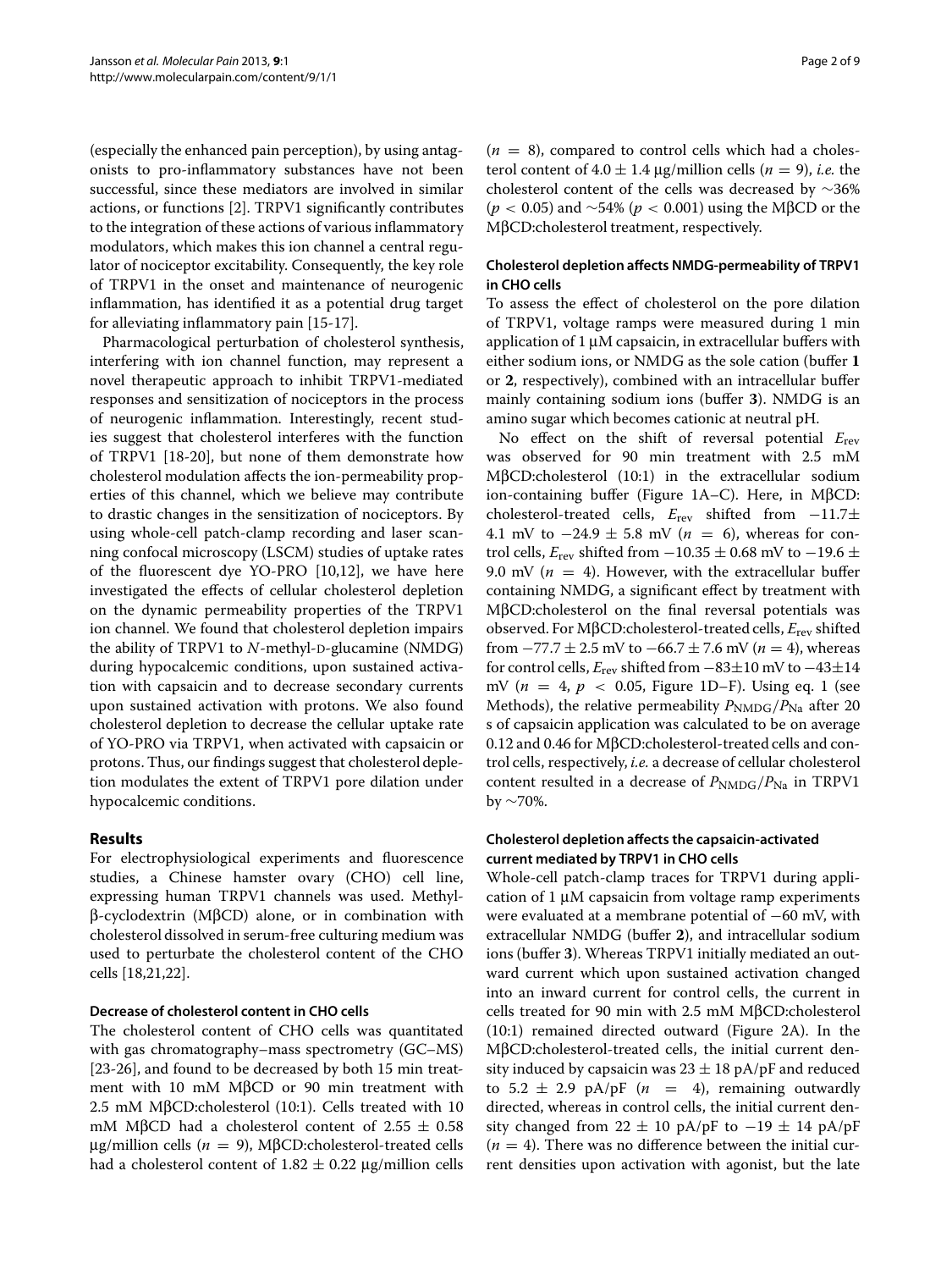(especially the enhanced pain perception), by using antagonists to pro-inflammatory substances have not been successful, since these mediators are involved in similar actions, or functions [\[2\]](#page-7-1). TRPV1 significantly contributes to the integration of these actions of various inflammatory modulators, which makes this ion channel a central regulator of nociceptor excitability. Consequently, the key role of TRPV1 in the onset and maintenance of neurogenic inflammation, has identified it as a potential drug target for alleviating inflammatory pain [\[15](#page-7-9)[-17\]](#page-7-10).

Pharmacological perturbation of cholesterol synthesis, interfering with ion channel function, may represent a novel therapeutic approach to inhibit TRPV1-mediated responses and sensitization of nociceptors in the process of neurogenic inflammation. Interestingly, recent studies suggest that cholesterol interferes with the function of TRPV1 [\[18](#page-7-11)[-20\]](#page-7-12), but none of them demonstrate how cholesterol modulation affects the ion-permeability properties of this channel, which we believe may contribute to drastic changes in the sensitization of nociceptors. By using whole-cell patch-clamp recording and laser scanning confocal microscopy (LSCM) studies of uptake rates of the fluorescent dye YO-PRO [\[10,](#page-7-7)[12\]](#page-7-13), we have here investigated the effects of cellular cholesterol depletion on the dynamic permeability properties of the TRPV1 ion channel. We found that cholesterol depletion impairs the ability of TRPV1 to *N*-methyl-D-glucamine (NMDG) during hypocalcemic conditions, upon sustained activation with capsaicin and to decrease secondary currents upon sustained activation with protons. We also found cholesterol depletion to decrease the cellular uptake rate of YO-PRO via TRPV1, when activated with capsaicin or protons. Thus, our findings suggest that cholesterol depletion modulates the extent of TRPV1 pore dilation under hypocalcemic conditions.

## **Results**

For electrophysiological experiments and fluorescence studies, a Chinese hamster ovary (CHO) cell line, expressing human TRPV1 channels was used. Methylβ-cyclodextrin (MβCD) alone, or in combination with cholesterol dissolved in serum-free culturing medium was used to perturbate the cholesterol content of the CHO cells [\[18](#page-7-11)[,21,](#page-7-14)[22\]](#page-7-15).

#### **Decrease of cholesterol content in CHO cells**

The cholesterol content of CHO cells was quantitated with gas chromatography–mass spectrometry (GC–MS) [\[23-](#page-7-16)[26\]](#page-7-17), and found to be decreased by both 15 min treatment with 10 mM MβCD or 90 min treatment with 2.5 mM MβCD:cholesterol (10:1). Cells treated with 10 mM MβCD had a cholesterol content of  $2.55 \pm 0.58$ <sup>μ</sup>g/million cells (*n* <sup>=</sup> 9), MβCD:cholesterol-treated cells had a cholesterol content of  $1.82 \pm 0.22$  µg/million cells  $(n = 8)$ , compared to control cells which had a cholesterol content of  $4.0 \pm 1.4$  µg/million cells ( $n = 9$ ), *i.e.* the cholesterol content of the cells was decreased by ∼36% (*p* <sup>&</sup>lt; 0.05) and <sup>∼</sup>54% (*p* <sup>&</sup>lt; 0.001) using the MβCD or the MβCD:cholesterol treatment, respectively.

## **Cholesterol depletion affects NMDG-permeability of TRPV1 in CHO cells**

To assess the effect of cholesterol on the pore dilation of TRPV1, voltage ramps were measured during 1 min application of 1 μM capsaicin, in extracellular buffers with either sodium ions, or NMDG as the sole cation (buffer **1** or **2**, respectively), combined with an intracellular buffer mainly containing sodium ions (buffer **3**). NMDG is an amino sugar which becomes cationic at neutral pH.

No effect on the shift of reversal potential *<sup>E</sup>*rev was observed for 90 min treatment with 2.5 mM MβCD:cholesterol (10:1) in the extracellular sodium ion-containing buffer (Figure [1A](#page-2-0)–C). Here, in MβCD: cholesterol-treated cells, *<sup>E</sup>*rev shifted from <sup>−</sup>11.7<sup>±</sup> 4.1 mV to  $-24.9 \pm 5.8$  mV (*n* = 6), whereas for control cells,  $E_{\text{rev}}$  shifted from  $-10.35 \pm 0.68$  mV to  $-19.6 \pm 0.68$ 9.0 mV ( $n = 4$ ). However, with the extracellular buffer containing NMDG, a significant effect by treatment with MβCD:cholesterol on the final reversal potentials was observed. For MβCD:cholesterol-treated cells, *<sup>E</sup>*rev shifted from <sup>−</sup>77.7 <sup>±</sup> 2.5 mV to <sup>−</sup>66.7 <sup>±</sup> 7.6 mV (*n* <sup>=</sup> 4), whereas for control cells, *<sup>E</sup>*rev shifted from <sup>−</sup>83±10 mV to <sup>−</sup>43±<sup>14</sup> mV (*n* <sup>=</sup> 4, *p* <sup>&</sup>lt; 0.05, Figure [1D–](#page-2-1)F). Using eq. [1](#page-6-0) (see Methods), the relative permeability  $P_{\text{NMDG}}/P_{\text{Na}}$  after 20 s of capsaicin application was calculated to be on average 0.12 and 0.46 for MβCD:cholesterol-treated cells and control cells, respectively, *i.e.* a decrease of cellular cholesterol content resulted in a decrease of  $P_{\text{NMDG}}/P_{\text{Na}}$  in TRPV1 by ∼70%.

#### **Cholesterol depletion affects the capsaicin-activated current mediated by TRPV1 in CHO cells**

Whole-cell patch-clamp traces for TRPV1 during application of 1 μM capsaicin from voltage ramp experiments were evaluated at a membrane potential of −60 mV, with extracellular NMDG (buffer **2**), and intracellular sodium ions (buffer **3**). Whereas TRPV1 initially mediated an outward current which upon sustained activation changed into an inward current for control cells, the current in cells treated for 90 min with 2.5 mM MβCD:cholesterol (10:1) remained directed outward (Figure [2A\)](#page-3-0). In the MβCD:cholesterol-treated cells, the initial current density induced by capsaicin was  $23 \pm 18$  pA/pF and reduced to  $5.2 \pm 2.9$  pA/pF ( $n = 4$ ), remaining outwardly directed, whereas in control cells, the initial current density changed from  $22 \pm 10$  pA/pF to  $-19 \pm 14$  pA/pF  $(n = 4)$ . There was no difference between the initial current densities upon activation with agonist, but the late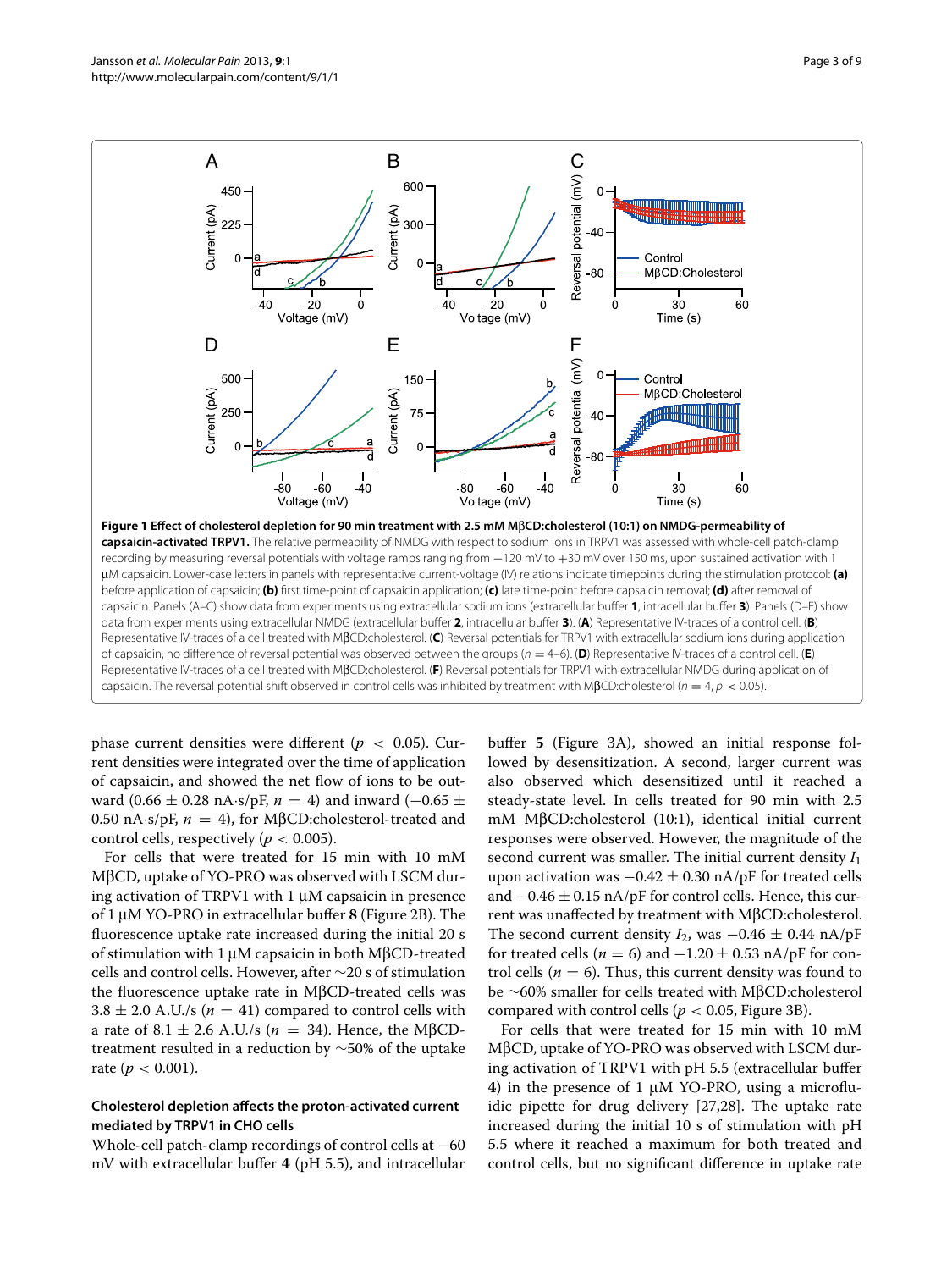

<span id="page-2-0"></span>Representative IV-traces of a cell treated with MβCD:cholesterol. (**C**) Reversal potentials for TRPV1 with extracellular sodium ions during application of capsaicin, no difference of reversal potential was observed between the groups (*<sup>n</sup>* <sup>=</sup> 4–6). (**D**) Representative IV-traces of a control cell. (**E**) Representative IV-traces of a cell treated with MβCD:cholesterol. (**F**) Reversal potentials for TRPV1 with extracellular NMDG during application of capsaicin. The reversal potential shift observed in control cells was inhibited by treatment with MβCD:cholesterol (*<sup>n</sup>* <sup>=</sup> 4, *<sup>p</sup>* <sup>&</sup>lt; 0.05).

phase current densities were different ( $p < 0.05$ ). Current densities were integrated over the time of application of capsaicin, and showed the net flow of ions to be outward (0.66 ± 0.28 nA·s/pF,  $n = 4$ ) and inward (−0.65 ± 0.50 nA·s/pF,  $n = 4$ ), for MβCD:cholesterol-treated and control cells, respectively ( $p < 0.005$ ).

For cells that were treated for 15 min with 10 mM MβCD, uptake of YO-PRO was observed with LSCM during activation of TRPV1 with 1 μM capsaicin in presence of 1 μM YO-PRO in extracellular buffer **8** (Figure [2B](#page-3-1)). The fluorescence uptake rate increased during the initial 20 s of stimulation with 1 μM capsaicin in both MβCD-treated cells and control cells. However, after ∼20 s of stimulation the fluorescence uptake rate in MβCD-treated cells was  $3.8 \pm 2.0$  A.U./s ( $n = 41$ ) compared to control cells with a rate of 8.1  $\pm$  2.6 A.U./s (*n* = 34). Hence, the MβCDtreatment resulted in a reduction by ∼50% of the uptake rate  $(p < 0.001)$ .

## **Cholesterol depletion affects the proton-activated current mediated by TRPV1 in CHO cells**

Whole-cell patch-clamp recordings of control cells at −60 mV with extracellular buffer **4** (pH 5.5), and intracellular <span id="page-2-1"></span>buffer **5** (Figure [3A](#page-3-2)), showed an initial response followed by desensitization. A second, larger current was also observed which desensitized until it reached a steady-state level. In cells treated for 90 min with 2.5 mM MβCD:cholesterol (10:1), identical initial current responses were observed. However, the magnitude of the second current was smaller. The initial current density *<sup>I</sup>*<sup>1</sup> upon activation was  $-0.42 \pm 0.30$  nA/pF for treated cells and  $-0.46 \pm 0.15$  nA/pF for control cells. Hence, this current was unaffected by treatment with MβCD:cholesterol. The second current density  $I_2$ , was  $-0.46 \pm 0.44$  nA/pF for treated cells ( $n = 6$ ) and  $-1.20 \pm 0.53$  nA/pF for control cells ( $n = 6$ ). Thus, this current density was found to be ∼60% smaller for cells treated with MβCD:cholesterol compared with control cells ( $p < 0.05$ , Figure [3B](#page-3-2)).

For cells that were treated for 15 min with 10 mM MβCD, uptake of YO-PRO was observed with LSCM during activation of TRPV1 with pH 5.5 (extracellular buffer **4**) in the presence of 1 μM YO-PRO, using a microfluidic pipette for drug delivery [\[27,](#page-7-18)[28\]](#page-7-19). The uptake rate increased during the initial 10 s of stimulation with pH 5.5 where it reached a maximum for both treated and control cells, but no significant difference in uptake rate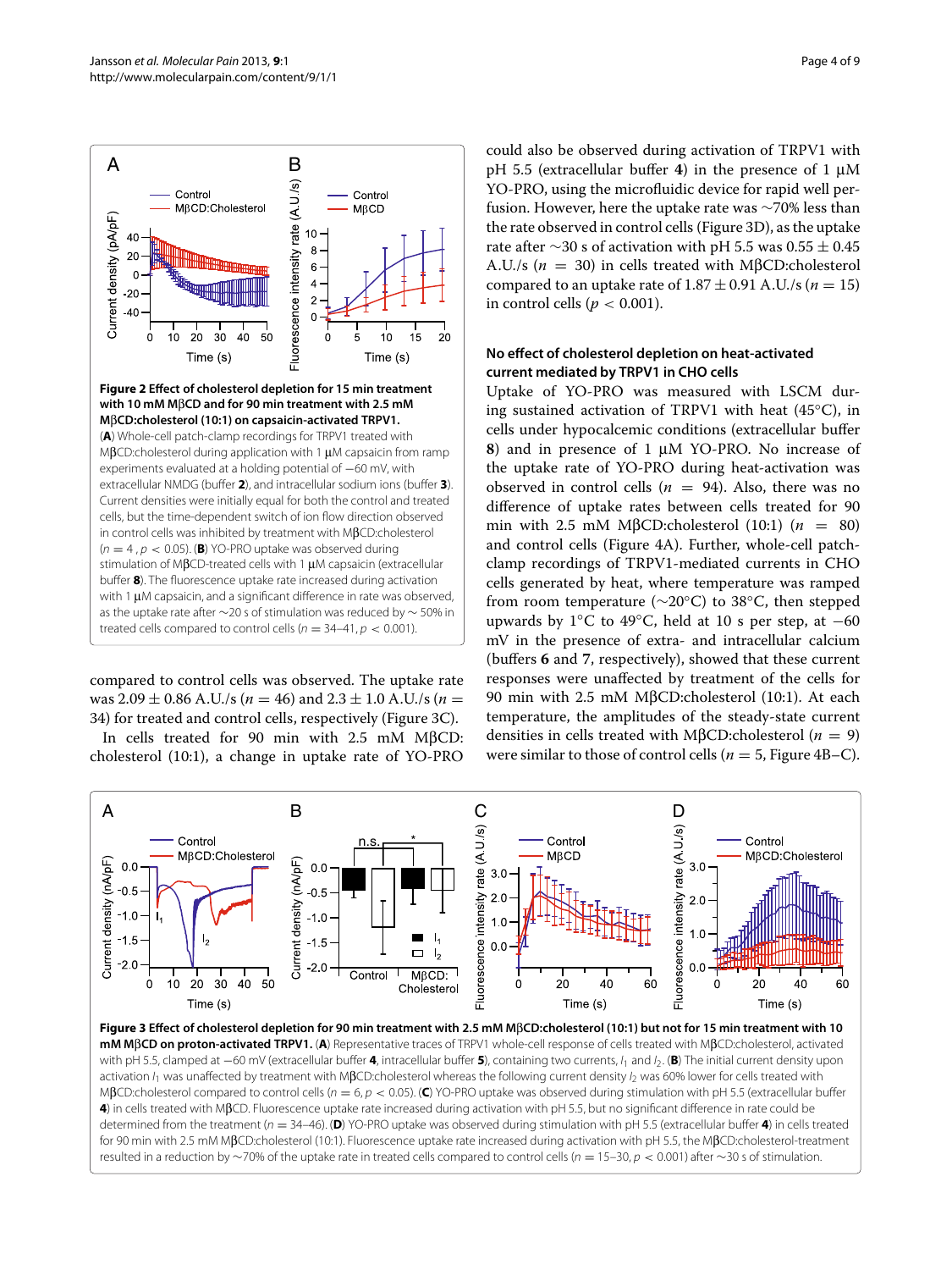<span id="page-3-1"></span><span id="page-3-0"></span>

compared to control cells was observed. The uptake rate was  $2.09 \pm 0.86$  A.U./s ( $n = 46$ ) and  $2.3 \pm 1.0$  A.U./s ( $n =$ 34) for treated and control cells, respectively (Figure [3C\)](#page-3-3).

In cells treated for 90 min with 2.5 mM MβCD: cholesterol (10:1), a change in uptake rate of YO-PRO

could also be observed during activation of TRPV1 with pH 5.5 (extracellular buffer **4**) in the presence of 1 μM YO-PRO, using the microfluidic device for rapid well perfusion. However, here the uptake rate was ∼70% less than the rate observed in control cells (Figure [3D](#page-3-2)), as the uptake rate after  $\sim$ 30 s of activation with pH 5.5 was  $0.55 \pm 0.45$ A.U./s (*n* <sup>=</sup> 30) in cells treated with MβCD:cholesterol compared to an uptake rate of  $1.87 \pm 0.91$  A.U./s ( $n = 15$ ) in control cells ( $p < 0.001$ ).

## **No effect of cholesterol depletion on heat-activated current mediated by TRPV1 in CHO cells**

<span id="page-3-3"></span>Uptake of YO-PRO was measured with LSCM during sustained activation of TRPV1 with heat  $(45^{\circ}C)$ , in cells under hypocalcemic conditions (extracellular buffer **8**) and in presence of 1 μM YO-PRO. No increase of the uptake rate of YO-PRO during heat-activation was observed in control cells ( $n = 94$ ). Also, there was no difference of uptake rates between cells treated for 90 min with 2.5 mM MβCD:cholesterol (10:1) (*n* <sup>=</sup> 80) and control cells (Figure [4A](#page-4-0)). Further, whole-cell patchclamp recordings of TRPV1-mediated currents in CHO cells generated by heat, where temperature was ramped from room temperature ( $\sim$ 20°C) to 38°C, then stepped upwards by  $1<sup>o</sup>C to 49<sup>o</sup>C, held at 10 s per step, at  $-60$$ mV in the presence of extra- and intracellular calcium (buffers **6** and **7**, respectively), showed that these current responses were unaffected by treatment of the cells for 90 min with 2.5 mM MβCD:cholesterol (10:1). At each temperature, the amplitudes of the steady-state current densities in cells treated with MβCD:cholesterol (*n* <sup>=</sup> 9) were similar to those of control cells ( $n = 5$ , Figure [4B](#page-4-0)–C).



<span id="page-3-2"></span>**Figure 3 Effect of cholesterol depletion for 90 min treatment with 2.5 mM M**β**CD:cholesterol (10:1) but not for 15 min treatment with 10 mM M**β**CD on proton-activated TRPV1.** (**A**) Representative traces of TRPV1 whole-cell response of cells treated with MβCD:cholesterol, activated with pH 5.5, clamped at <sup>−</sup>60 mV (extracellular buffer **<sup>4</sup>**, intracellular buffer **<sup>5</sup>**), containing two currents, *<sup>I</sup>*<sup>1</sup> and *<sup>I</sup>*2. (**B**) The initial current density upon activation *I*<sup>1</sup> was unaffected by treatment with MβCD:cholesterol whereas the following current density *I*<sup>2</sup> was 60% lower for cells treated with <sup>M</sup>βCD:cholesterol compared to control cells (*<sup>n</sup>* <sup>=</sup> 6, *<sup>p</sup>* <sup>&</sup>lt; 0.05). (**C**) YO-PRO uptake was observed during stimulation with pH 5.5 (extracellular buffer **4**) in cells treated with MβCD. Fluorescence uptake rate increased during activation with pH 5.5, but no significant difference in rate could be determined from the treatment (*<sup>n</sup>* <sup>=</sup> 34–46). (**D**) YO-PRO uptake was observed during stimulation with pH 5.5 (extracellular buffer **<sup>4</sup>**) in cells treated for 90 min with 2.5 mM MβCD:cholesterol (10:1). Fluorescence uptake rate increased during activation with pH 5.5, the MβCD:cholesterol-treatment resulted in a reduction by <sup>∼</sup>70% of the uptake rate in treated cells compared to control cells (*<sup>n</sup>* <sup>=</sup> 15–30, *<sup>p</sup>* <sup>&</sup>lt; 0.001) after <sup>∼</sup>30 s of stimulation.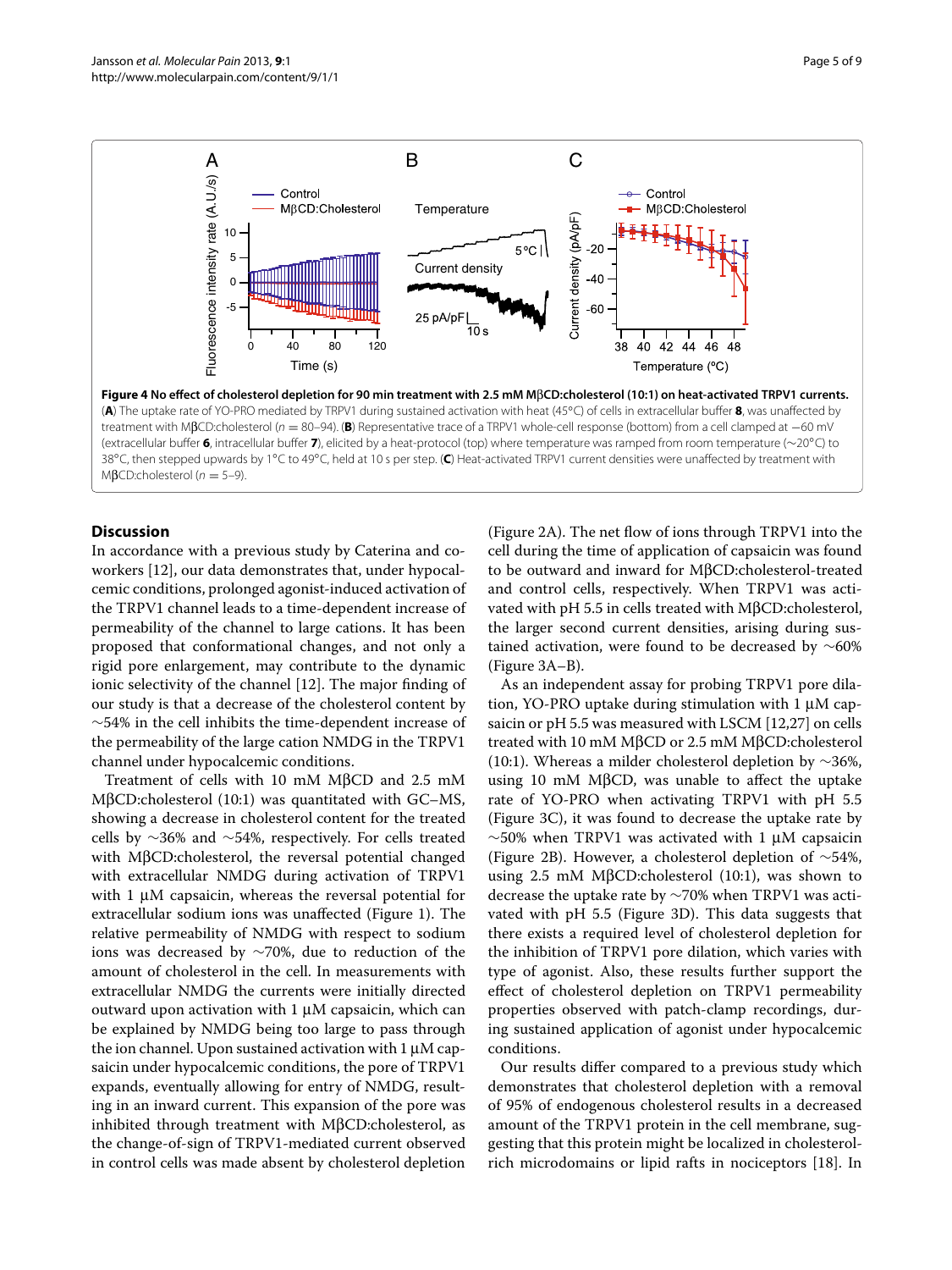

## <span id="page-4-0"></span>**Discussion**

In accordance with a previous study by Caterina and coworkers [\[12\]](#page-7-13), our data demonstrates that, under hypocalcemic conditions, prolonged agonist-induced activation of the TRPV1 channel leads to a time-dependent increase of permeability of the channel to large cations. It has been proposed that conformational changes, and not only a rigid pore enlargement, may contribute to the dynamic ionic selectivity of the channel [\[12\]](#page-7-13). The major finding of our study is that a decrease of the cholesterol content by ∼54% in the cell inhibits the time-dependent increase of the permeability of the large cation NMDG in the TRPV1 channel under hypocalcemic conditions.

Treatment of cells with 10 mM MβCD and 2.5 mM MβCD:cholesterol (10:1) was quantitated with GC–MS, showing a decrease in cholesterol content for the treated cells by ∼36% and ∼54%, respectively. For cells treated with MβCD:cholesterol, the reversal potential changed with extracellular NMDG during activation of TRPV1 with 1 μM capsaicin, whereas the reversal potential for extracellular sodium ions was unaffected (Figure [1\)](#page-2-0). The relative permeability of NMDG with respect to sodium ions was decreased by ∼70%, due to reduction of the amount of cholesterol in the cell. In measurements with extracellular NMDG the currents were initially directed outward upon activation with 1 μM capsaicin, which can be explained by NMDG being too large to pass through the ion channel. Upon sustained activation with 1 μM capsaicin under hypocalcemic conditions, the pore of TRPV1 expands, eventually allowing for entry of NMDG, resulting in an inward current. This expansion of the pore was inhibited through treatment with MβCD:cholesterol, as the change-of-sign of TRPV1-mediated current observed in control cells was made absent by cholesterol depletion

(Figure [2A](#page-3-1)). The net flow of ions through TRPV1 into the cell during the time of application of capsaicin was found to be outward and inward for MβCD:cholesterol-treated and control cells, respectively. When TRPV1 was activated with pH 5.5 in cells treated with MβCD:cholesterol, the larger second current densities, arising during sustained activation, were found to be decreased by ∼60% (Figure [3A](#page-3-2)–B).

As an independent assay for probing TRPV1 pore dilation, YO-PRO uptake during stimulation with 1 μM capsaicin or pH 5.5 was measured with LSCM [\[12,](#page-7-13)[27\]](#page-7-18) on cells treated with 10 mM MβCD or 2.5 mM MβCD:cholesterol (10:1). Whereas a milder cholesterol depletion by  $\sim$ 36%, using 10 mM MβCD, was unable to affect the uptake rate of YO-PRO when activating TRPV1 with pH 5.5 (Figure [3C](#page-3-2)), it was found to decrease the uptake rate by  $~\sim$ 50% when TRPV1 was activated with 1  $\mu$ M capsaicin (Figure [2B](#page-3-1)). However, a cholesterol depletion of ∼54%, using 2.5 mM MβCD:cholesterol (10:1), was shown to decrease the uptake rate by ∼70% when TRPV1 was activated with pH 5.5 (Figure [3D](#page-3-2)). This data suggests that there exists a required level of cholesterol depletion for the inhibition of TRPV1 pore dilation, which varies with type of agonist. Also, these results further support the effect of cholesterol depletion on TRPV1 permeability properties observed with patch-clamp recordings, during sustained application of agonist under hypocalcemic conditions.

Our results differ compared to a previous study which demonstrates that cholesterol depletion with a removal of 95% of endogenous cholesterol results in a decreased amount of the TRPV1 protein in the cell membrane, suggesting that this protein might be localized in cholesterolrich microdomains or lipid rafts in nociceptors [\[18\]](#page-7-11). In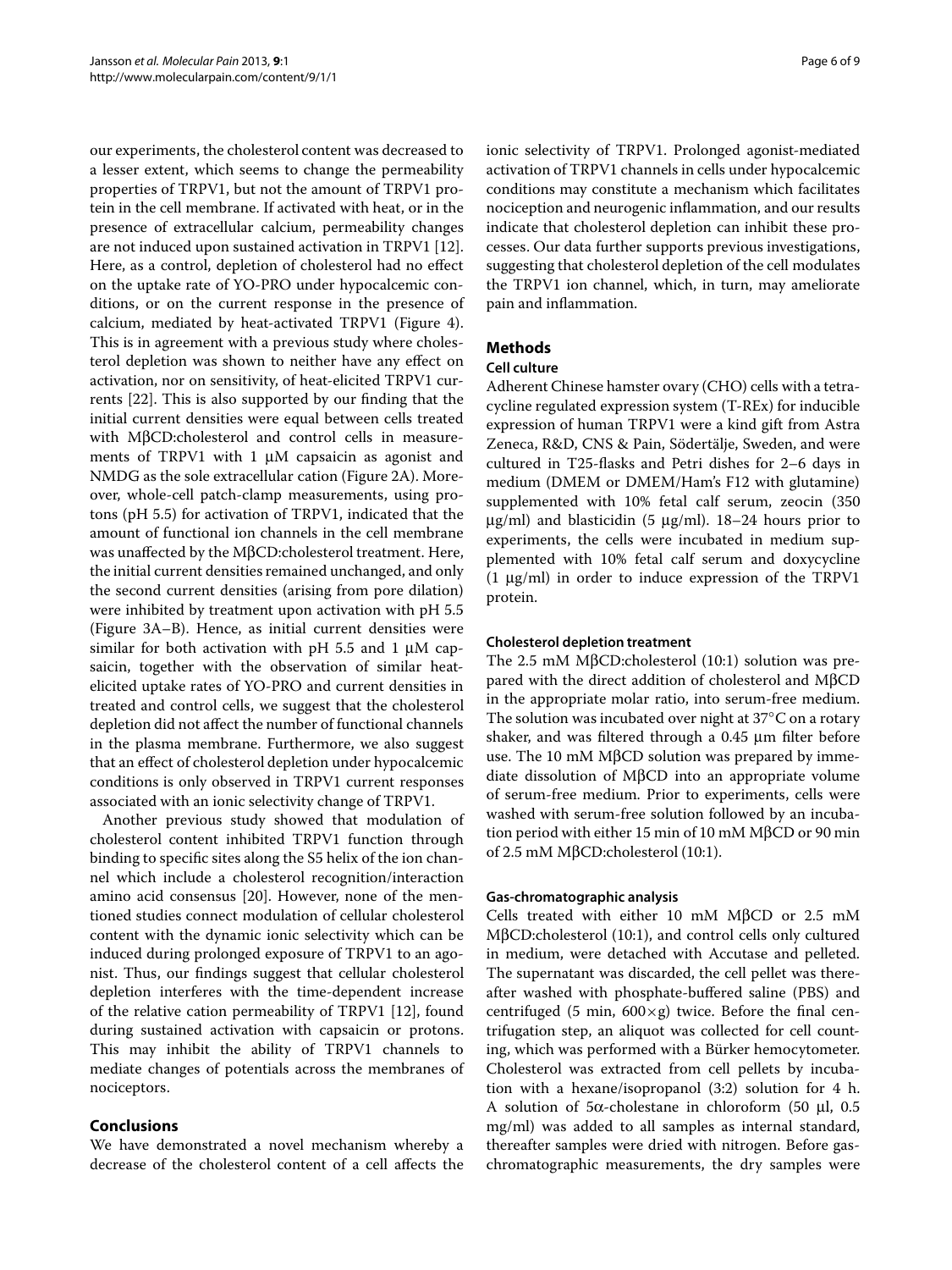our experiments, the cholesterol content was decreased to a lesser extent, which seems to change the permeability properties of TRPV1, but not the amount of TRPV1 protein in the cell membrane. If activated with heat, or in the presence of extracellular calcium, permeability changes are not induced upon sustained activation in TRPV1 [\[12\]](#page-7-13). Here, as a control, depletion of cholesterol had no effect on the uptake rate of YO-PRO under hypocalcemic conditions, or on the current response in the presence of calcium, mediated by heat-activated TRPV1 (Figure [4\)](#page-4-0). This is in agreement with a previous study where cholesterol depletion was shown to neither have any effect on activation, nor on sensitivity, of heat-elicited TRPV1 currents [\[22\]](#page-7-15). This is also supported by our finding that the initial current densities were equal between cells treated with MβCD:cholesterol and control cells in measurements of TRPV1 with 1 μM capsaicin as agonist and NMDG as the sole extracellular cation (Figure [2A](#page-3-1)). Moreover, whole-cell patch-clamp measurements, using protons (pH 5.5) for activation of TRPV1, indicated that the amount of functional ion channels in the cell membrane was unaffected by the MβCD:cholesterol treatment. Here, the initial current densities remained unchanged, and only the second current densities (arising from pore dilation) were inhibited by treatment upon activation with pH 5.5 (Figure [3A](#page-3-2)–B). Hence, as initial current densities were similar for both activation with pH 5.5 and 1 μM capsaicin, together with the observation of similar heatelicited uptake rates of YO-PRO and current densities in treated and control cells, we suggest that the cholesterol depletion did not affect the number of functional channels in the plasma membrane. Furthermore, we also suggest that an effect of cholesterol depletion under hypocalcemic conditions is only observed in TRPV1 current responses associated with an ionic selectivity change of TRPV1.

Another previous study showed that modulation of cholesterol content inhibited TRPV1 function through binding to specific sites along the S5 helix of the ion channel which include a cholesterol recognition/interaction amino acid consensus [\[20\]](#page-7-12). However, none of the mentioned studies connect modulation of cellular cholesterol content with the dynamic ionic selectivity which can be induced during prolonged exposure of TRPV1 to an agonist. Thus, our findings suggest that cellular cholesterol depletion interferes with the time-dependent increase of the relative cation permeability of TRPV1 [\[12\]](#page-7-13), found during sustained activation with capsaicin or protons. This may inhibit the ability of TRPV1 channels to mediate changes of potentials across the membranes of nociceptors.

#### **Conclusions**

We have demonstrated a novel mechanism whereby a decrease of the cholesterol content of a cell affects the ionic selectivity of TRPV1. Prolonged agonist-mediated activation of TRPV1 channels in cells under hypocalcemic conditions may constitute a mechanism which facilitates nociception and neurogenic inflammation, and our results indicate that cholesterol depletion can inhibit these processes. Our data further supports previous investigations, suggesting that cholesterol depletion of the cell modulates the TRPV1 ion channel, which, in turn, may ameliorate pain and inflammation.

## **Methods**

## **Cell culture**

Adherent Chinese hamster ovary (CHO) cells with a tetracycline regulated expression system (T-REx) for inducible expression of human TRPV1 were a kind gift from Astra Zeneca, R&D, CNS & Pain, Södertälje, Sweden, and were cultured in T25-flasks and Petri dishes for 2–6 days in medium (DMEM or DMEM/Ham's F12 with glutamine) supplemented with 10% fetal calf serum, zeocin (350 μg/ml) and blasticidin (5 μg/ml).  $18-24$  hours prior to experiments, the cells were incubated in medium supplemented with 10% fetal calf serum and doxycycline (1 μg/ml) in order to induce expression of the TRPV1 protein.

#### **Cholesterol depletion treatment**

The 2.5 mM MβCD:cholesterol (10:1) solution was prepared with the direct addition of cholesterol and MβCD in the appropriate molar ratio, into serum-free medium. The solution was incubated over night at 37◦C on a rotary shaker, and was filtered through a 0.45 μm filter before use. The 10 mM M $βCD$  solution was prepared by immediate dissolution of MβCD into an appropriate volume of serum-free medium. Prior to experiments, cells were washed with serum-free solution followed by an incubation period with either 15 min of 10 mM MβCD or 90 min of 2.5 mM MβCD:cholesterol (10:1).

## **Gas-chromatographic analysis**

Cells treated with either 10 mM MβCD or 2.5 mM MβCD:cholesterol (10:1), and control cells only cultured in medium, were detached with Accutase and pelleted. The supernatant was discarded, the cell pellet was thereafter washed with phosphate-buffered saline (PBS) and centrifuged (5 min,  $600 \times g$ ) twice. Before the final centrifugation step, an aliquot was collected for cell counting, which was performed with a Bürker hemocytometer. Cholesterol was extracted from cell pellets by incubation with a hexane/isopropanol (3:2) solution for 4 h. A solution of 5α-cholestane in chloroform (50 μl, 0.5 mg/ml) was added to all samples as internal standard, thereafter samples were dried with nitrogen. Before gaschromatographic measurements, the dry samples were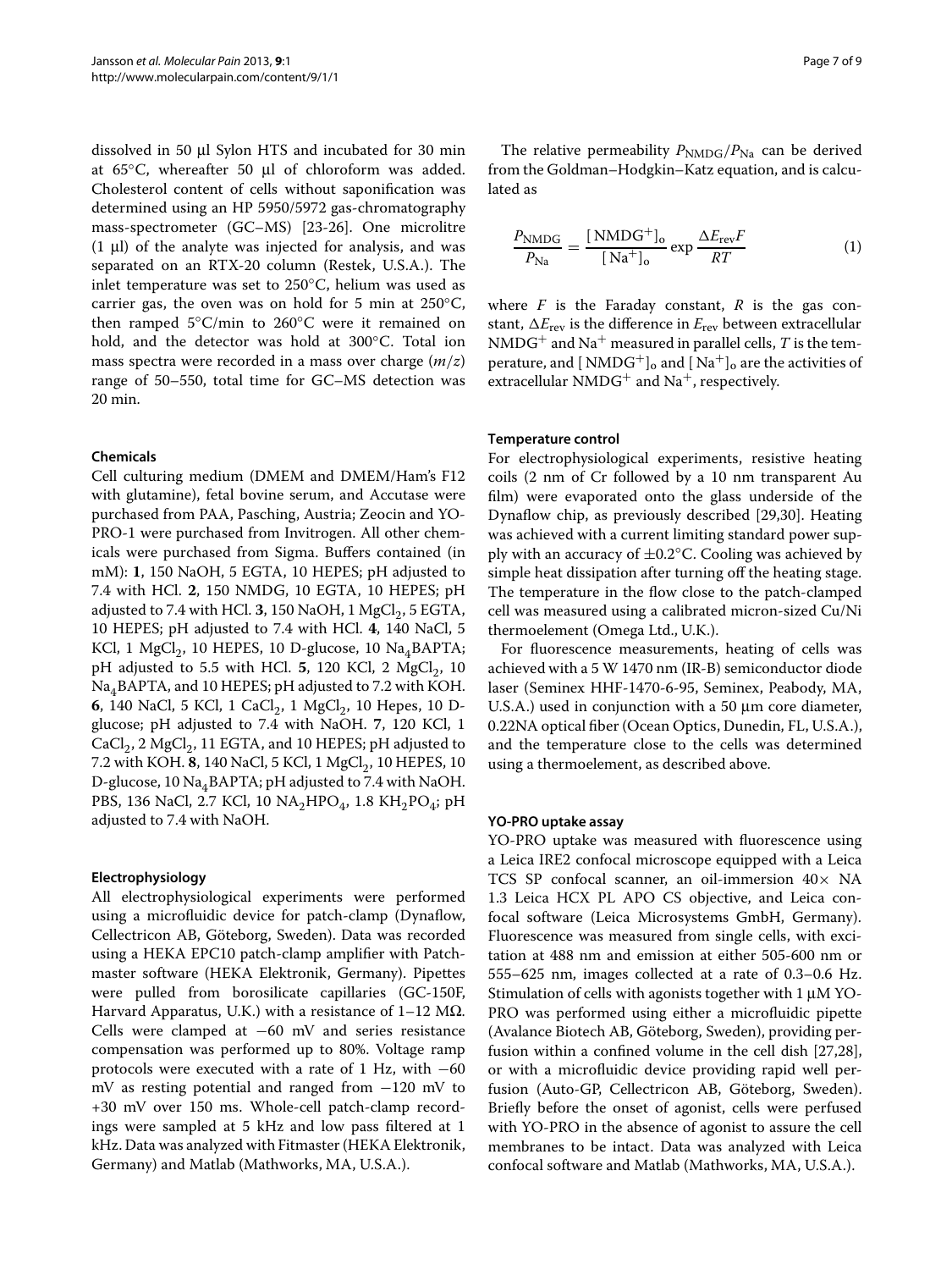dissolved in 50 μl Sylon HTS and incubated for 30 min at 65◦C, whereafter 50 μl of chloroform was added. Cholesterol content of cells without saponification was determined using an HP 5950/5972 gas-chromatography mass-spectrometer (GC–MS) [\[23](#page-7-16)[-26\]](#page-7-17). One microlitre (1 μl) of the analyte was injected for analysis, and was separated on an RTX-20 column (Restek, U.S.A.). The inlet temperature was set to 250◦C, helium was used as carrier gas, the oven was on hold for 5 min at  $250^{\circ}$ C, then ramped 5◦C/min to 260◦C were it remained on hold, and the detector was hold at 300◦C. Total ion mass spectra were recorded in a mass over charge (*m*/*z*) range of 50–550, total time for GC–MS detection was 20 min.

#### **Chemicals**

Cell culturing medium (DMEM and DMEM/Ham's F12 with glutamine), fetal bovine serum, and Accutase were purchased from PAA, Pasching, Austria; Zeocin and YO-PRO-1 were purchased from Invitrogen. All other chemicals were purchased from Sigma. Buffers contained (in mM): **1**, 150 NaOH, 5 EGTA, 10 HEPES; pH adjusted to 7.4 with HCl. **2**, 150 NMDG, 10 EGTA, 10 HEPES; pH adjusted to 7.4 with HCl.  $3$ , 150 NaOH, 1 MgCl<sub>2</sub>, 5 EGTA, 10 HEPES; pH adjusted to 7.4 with HCl. **4**, 140 NaCl, 5 KCl, 1  $MgCl<sub>2</sub>$ , 10 HEPES, 10 D-glucose, 10  $Na<sub>4</sub>BAPTA$ ; pH adjusted to 5.5 with HCl.  $5$ , 120 KCl, 2 MgCl<sub>2</sub>, 10 Na4BAPTA, and 10 HEPES; pH adjusted to 7.2 with KOH. **6**, 140 NaCl, 5 KCl, 1 CaCl<sub>2</sub>, 1 MgCl<sub>2</sub>, 10 Hepes, 10 Dglucose; pH adjusted to 7.4 with NaOH. **7**, 120 KCl, 1  $CaCl<sub>2</sub>$ , 2 MgCl<sub>2</sub>, 11 EGTA, and 10 HEPES; pH adjusted to 7.2 with KOH. 8, 140 NaCl, 5 KCl, 1 MgCl<sub>2</sub>, 10 HEPES, 10 D-glucose, 10 Na<sub>4</sub>BAPTA; pH adjusted to 7.4 with NaOH. PBS, 136 NaCl, 2.7 KCl, 10 NA<sub>2</sub>HPO<sub>4</sub>, 1.8 KH<sub>2</sub>PO<sub>4</sub>; pH adjusted to 7.4 with NaOH.

#### **Electrophysiology**

All electrophysiological experiments were performed using a microfluidic device for patch-clamp (Dynaflow, Cellectricon AB, Göteborg, Sweden). Data was recorded using a HEKA EPC10 patch-clamp amplifier with Patchmaster software (HEKA Elektronik, Germany). Pipettes were pulled from borosilicate capillaries (GC-150F, Harvard Apparatus, U.K.) with a resistance of  $1-12$  M $\Omega$ . Cells were clamped at −60 mV and series resistance compensation was performed up to 80%. Voltage ramp protocols were executed with a rate of 1 Hz, with −60 mV as resting potential and ranged from −120 mV to +30 mV over 150 ms. Whole-cell patch-clamp recordings were sampled at 5 kHz and low pass filtered at 1 kHz. Data was analyzed with Fitmaster (HEKA Elektronik, Germany) and Matlab (Mathworks, MA, U.S.A.).

The relative permeability  $P_{\text{NMDG}}/P_{\text{Na}}$  can be derived from the Goldman–Hodgkin–Katz equation, and is calculated as

<span id="page-6-0"></span>
$$
\frac{P_{\text{NMDG}}}{P_{\text{Na}}} = \frac{[\text{NMDG}^+]_{\text{o}}}{[\text{Na}^+]_{\text{o}}} \exp \frac{\Delta E_{\text{rev}} F}{RT}
$$
(1)

where  $F$  is the Faraday constant,  $R$  is the gas constant,  $\Delta E_{\text{rev}}$  is the difference in  $E_{\text{rev}}$  between extracellular<br>NMDG<sup>+</sup> and Na<sup>+</sup> measured in parallel cells. *T* is the tem-NMDG<sup>+</sup> and Na<sup>+</sup> measured in parallel cells,  $T$  is the temperature, and [NMDG<sup>+</sup>]<sub>o</sub> and  $[Na^+]$ <sub>o</sub> are the activities of extracellular NMDG<sup>+</sup> and Na<sup>+</sup>, respectively.

#### **Temperature control**

For electrophysiological experiments, resistive heating coils (2 nm of Cr followed by a 10 nm transparent Au film) were evaporated onto the glass underside of the Dynaflow chip, as previously described [\[29,](#page-7-20)[30\]](#page-7-21). Heating was achieved with a current limiting standard power supply with an accuracy of  $\pm 0.2$ °C. Cooling was achieved by simple heat dissipation after turning off the heating stage. The temperature in the flow close to the patch-clamped cell was measured using a calibrated micron-sized Cu/Ni thermoelement (Omega Ltd., U.K.).

For fluorescence measurements, heating of cells was achieved with a 5 W 1470 nm (IR-B) semiconductor diode laser (Seminex HHF-1470-6-95, Seminex, Peabody, MA, U.S.A.) used in conjunction with a 50 μm core diameter, 0.22NA optical fiber (Ocean Optics, Dunedin, FL, U.S.A.), and the temperature close to the cells was determined using a thermoelement, as described above.

#### **YO-PRO uptake assay**

YO-PRO uptake was measured with fluorescence using a Leica IRE2 confocal microscope equipped with a Leica TCS SP confocal scanner, an oil-immersion  $40\times$  NA 1.3 Leica HCX PL APO CS objective, and Leica confocal software (Leica Microsystems GmbH, Germany). Fluorescence was measured from single cells, with excitation at 488 nm and emission at either 505-600 nm or 555–625 nm, images collected at a rate of 0.3–0.6 Hz. Stimulation of cells with agonists together with 1 μM YO-PRO was performed using either a microfluidic pipette (Avalance Biotech AB, Göteborg, Sweden), providing perfusion within a confined volume in the cell dish [\[27,](#page-7-18)[28\]](#page-7-19), or with a microfluidic device providing rapid well perfusion (Auto-GP, Cellectricon AB, Göteborg, Sweden). Briefly before the onset of agonist, cells were perfused with YO-PRO in the absence of agonist to assure the cell membranes to be intact. Data was analyzed with Leica confocal software and Matlab (Mathworks, MA, U.S.A.).